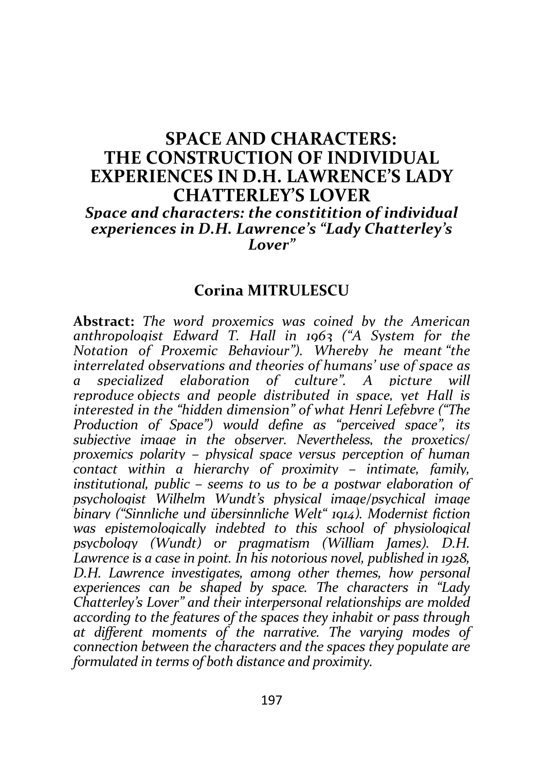## SPACE AND CHARACTERS: THE CONSTRUCTION OF INDIVIDUAL EXPERIENCES IN D.H. LAWRENCE'S LADY CHATTERLEY'S LOVER Space and characters: the constitition of individual experiences in D.H. Lawrence's "Lady Chatterley's Lover"

## Corina MITRULESCU

Abstract: The word proxemics was coined by the American anthropologist Edward T. Hall in 1963 ("A System for the Notation of Proxemic Behaviour"). Whereby he meant "the interrelated observations and theories of humans' use of space as a specialized elaboration of culture". A picture will reproduce objects and people distributed in space, yet Hall is interested in the "hidden dimension" of what Henri Lefebvre ("The Production of Space") would define as "perceived space", its subjective image in the observer. Nevertheless, the proxetics/ proxemics polarity – physical space versus perception of human contact within a hierarchy of proximity – intimate, family, institutional, public – seems to us to be a postwar elaboration of psychologist Wilhelm Wundt's physical image/psychical image binary ("Sinnliche und übersinnliche Welt" 1914). Modernist fiction was enistemologically indebted to this school of physiological psycbology (Wundt) or pragmatism (William James). D.H. Lawrence is a case in point. In his notorious novel, published in 1928, D.H. Lawrence investigates, among other themes, how personal experiences can be shaped by space. The characters in "Lady Chatterley's Lover" and their interpersonal relationships are molded according to the features of the spaces they inhabit or pass through at different moments of the narrative. The varying modes of connection between the characters and the spaces they populate are formulated in terms of both distance and proximity.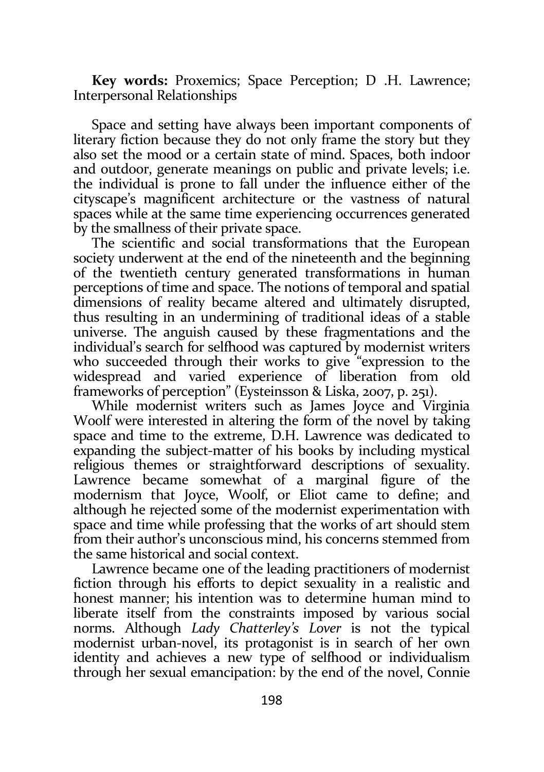Key words: Proxemics; Space Perception; D .H. Lawrence; Interpersonal Relationships

Space and setting have always been important components of literary fiction because they do not only frame the story but they also set the mood or a certain state of mind. Spaces, both indoor and outdoor, generate meanings on public and private levels; i.e. the individual is prone to fall under the influence either of the cityscape's magnificent architecture or the vastness of natural spaces while at the same time experiencing occurrences generated by the smallness of their private space.

The scientific and social transformations that the European society underwent at the end of the nineteenth and the beginning of the twentieth century generated transformations in human perceptions of time and space. The notions of temporal and spatial dimensions of reality became altered and ultimately disrupted, thus resulting in an undermining of traditional ideas of a stable universe. The anguish caused by these fragmentations and the individual's search for selfhood was captured by modernist writers who succeeded through their works to give "expression to the widespread and varied experience of liberation from old frameworks of perception" (Eysteinsson & Liska, 2007, p. 251).

While modernist writers such as James Joyce and Virginia Woolf were interested in altering the form of the novel by taking space and time to the extreme, D.H. Lawrence was dedicated to expanding the subject-matter of his books by including mystical religious themes or straightforward descriptions of sexuality. Lawrence became somewhat of a marginal figure of the modernism that Joyce, Woolf, or Eliot came to define; and although he rejected some of the modernist experimentation with space and time while professing that the works of art should stem from their author's unconscious mind, his concerns stemmed from the same historical and social context.

Lawrence became one of the leading practitioners of modernist fiction through his efforts to depict sexuality in a realistic and honest manner; his intention was to determine human mind to liberate itself from the constraints imposed by various social norms. Although Lady Chatterley's Lover is not the typical modernist urban-novel, its protagonist is in search of her own identity and achieves a new type of selfhood or individualism through her sexual emancipation: by the end of the novel, Connie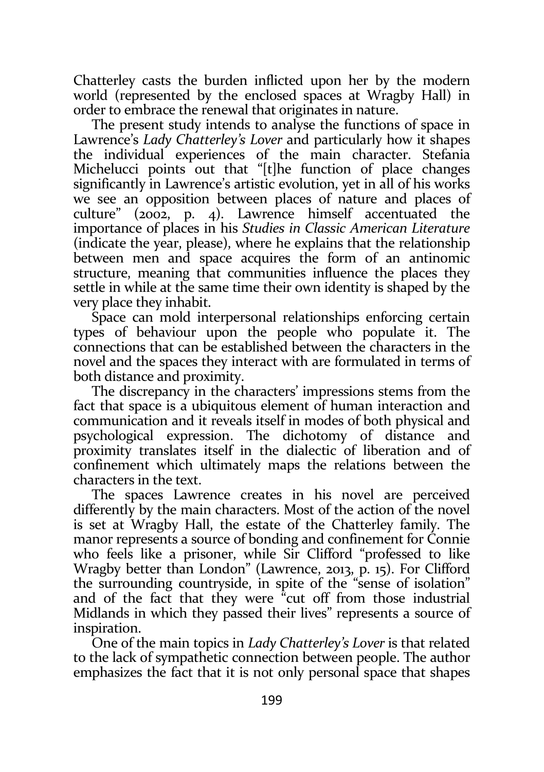Chatterley casts the burden inflicted upon her by the modern world (represented by the enclosed spaces at Wragby Hall) in order to embrace the renewal that originates in nature.

The present study intends to analyse the functions of space in Lawrence's Lady Chatterley's Lover and particularly how it shapes the individual experiences of the main character. Stefania Michelucci points out that "[t]he function of place changes significantly in Lawrence's artistic evolution, yet in all of his works we see an opposition between places of nature and places of culture" (2002, p. 4). Lawrence himself accentuated the importance of places in his Studies in Classic American Literature (indicate the year, please), where he explains that the relationship between men and space acquires the form of an antinomic structure, meaning that communities influence the places they settle in while at the same time their own identity is shaped by the very place they inhabit.

Space can mold interpersonal relationships enforcing certain types of behaviour upon the people who populate it. The connections that can be established between the characters in the novel and the spaces they interact with are formulated in terms of both distance and proximity.

The discrepancy in the characters' impressions stems from the fact that space is a ubiquitous element of human interaction and communication and it reveals itself in modes of both physical and psychological expression. The dichotomy of distance and proximity translates itself in the dialectic of liberation and of confinement which ultimately maps the relations between the characters in the text.

The spaces Lawrence creates in his novel are perceived differently by the main characters. Most of the action of the novel is set at Wragby Hall, the estate of the Chatterley family. The manor represents a source of bonding and confinement for Connie who feels like a prisoner, while Sir Clifford "professed to like Wragby better than London" (Lawrence, 2013, p. 15). For Clifford the surrounding countryside, in spite of the "sense of isolation" and of the fact that they were "cut off from those industrial Midlands in which they passed their lives" represents a source of inspiration.

One of the main topics in Lady Chatterley's Lover is that related to the lack of sympathetic connection between people. The author emphasizes the fact that it is not only personal space that shapes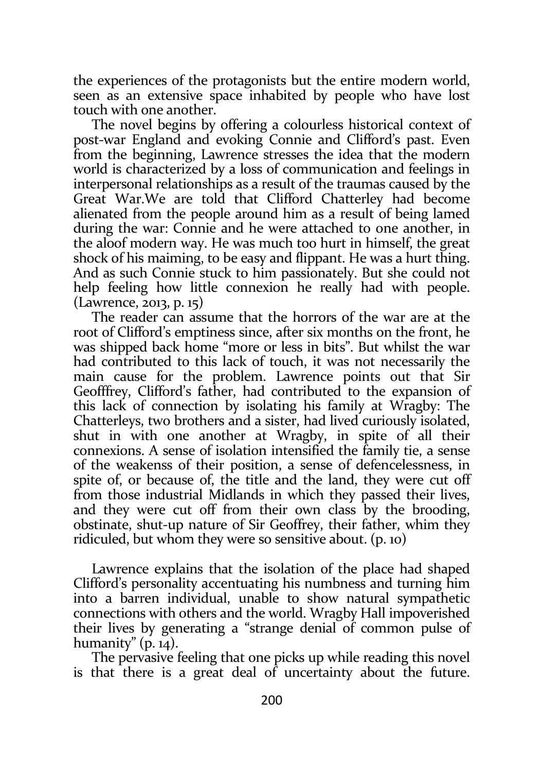the experiences of the protagonists but the entire modern world, seen as an extensive space inhabited by people who have lost touch with one another.

The novel begins by offering a colourless historical context of post-war England and evoking Connie and Clifford's past. Even from the beginning, Lawrence stresses the idea that the modern world is characterized by a loss of communication and feelings in interpersonal relationships as a result of the traumas caused by the Great War.We are told that Clifford Chatterley had become alienated from the people around him as a result of being lamed during the war: Connie and he were attached to one another, in the aloof modern way. He was much too hurt in himself, the great shock of his maiming, to be easy and flippant. He was a hurt thing. And as such Connie stuck to him passionately. But she could not help feeling how little connexion he really had with people. (Lawrence, 2013, p. 15)

The reader can assume that the horrors of the war are at the root of Clifford's emptiness since, after six months on the front, he was shipped back home "more or less in bits". But whilst the war had contributed to this lack of touch, it was not necessarily the main cause for the problem. Lawrence points out that Sir Geofffrey, Clifford's father, had contributed to the expansion of this lack of connection by isolating his family at Wragby: The Chatterleys, two brothers and a sister, had lived curiously isolated, shut in with one another at Wragby, in spite of all their connexions. A sense of isolation intensified the family tie, a sense of the weakenss of their position, a sense of defencelessness, in spite of, or because of, the title and the land, they were cut off from those industrial Midlands in which they passed their lives, and they were cut off from their own class by the brooding, obstinate, shut-up nature of Sir Geoffrey, their father, whim they ridiculed, but whom they were so sensitive about. (p. 10)

Lawrence explains that the isolation of the place had shaped Clifford's personality accentuating his numbness and turning him into a barren individual, unable to show natural sympathetic connections with others and the world. Wragby Hall impoverished their lives by generating a "strange denial of common pulse of humanity"  $(p. 14)$ .

The pervasive feeling that one picks up while reading this novel is that there is a great deal of uncertainty about the future.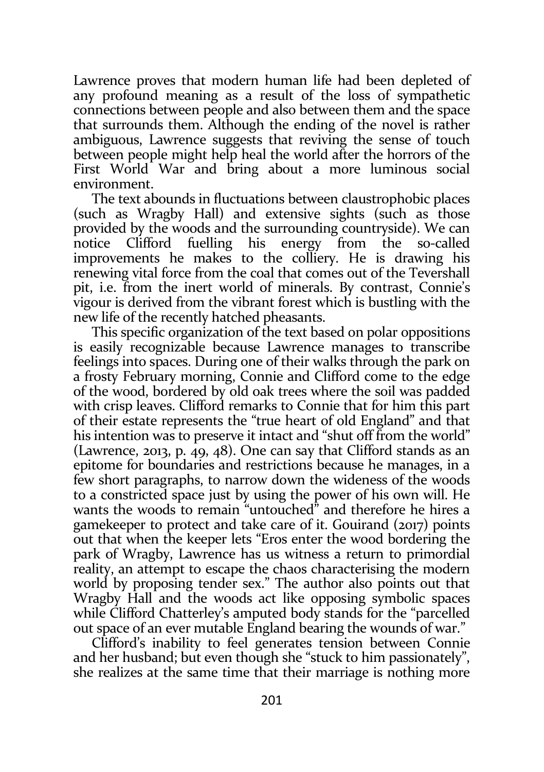Lawrence proves that modern human life had been depleted of any profound meaning as a result of the loss of sympathetic connections between people and also between them and the space that surrounds them. Although the ending of the novel is rather ambiguous, Lawrence suggests that reviving the sense of touch between people might help heal the world after the horrors of the First World War and bring about a more luminous social environment.

The text abounds in fluctuations between claustrophobic places (such as Wragby Hall) and extensive sights (such as those provided by the woods and the surrounding countryside). We can notice Clifford fuelling his energy from the so-called improvements he makes to the colliery. He is drawing his renewing vital force from the coal that comes out of the Tevershall pit, i.e. from the inert world of minerals. By contrast, Connie's vigour is derived from the vibrant forest which is bustling with the new life of the recently hatched pheasants.

This specific organization of the text based on polar oppositions is easily recognizable because Lawrence manages to transcribe feelings into spaces. During one of their walks through the park on a frosty February morning, Connie and Clifford come to the edge of the wood, bordered by old oak trees where the soil was padded with crisp leaves. Clifford remarks to Connie that for him this part of their estate represents the "true heart of old England" and that his intention was to preserve it intact and "shut off from the world" (Lawrence, 2013, p. 49, 48). One can say that Clifford stands as an epitome for boundaries and restrictions because he manages, in a few short paragraphs, to narrow down the wideness of the woods to a constricted space just by using the power of his own will. He wants the woods to remain "untouched" and therefore he hires a gamekeeper to protect and take care of it. Gouirand (2017) points out that when the keeper lets "Eros enter the wood bordering the park of Wragby, Lawrence has us witness a return to primordial reality, an attempt to escape the chaos characterising the modern world by proposing tender sex." The author also points out that Wragby Hall and the woods act like opposing symbolic spaces while Clifford Chatterley's amputed body stands for the "parcelled out space of an ever mutable England bearing the wounds of war."

Clifford's inability to feel generates tension between Connie and her husband; but even though she "stuck to him passionately", she realizes at the same time that their marriage is nothing more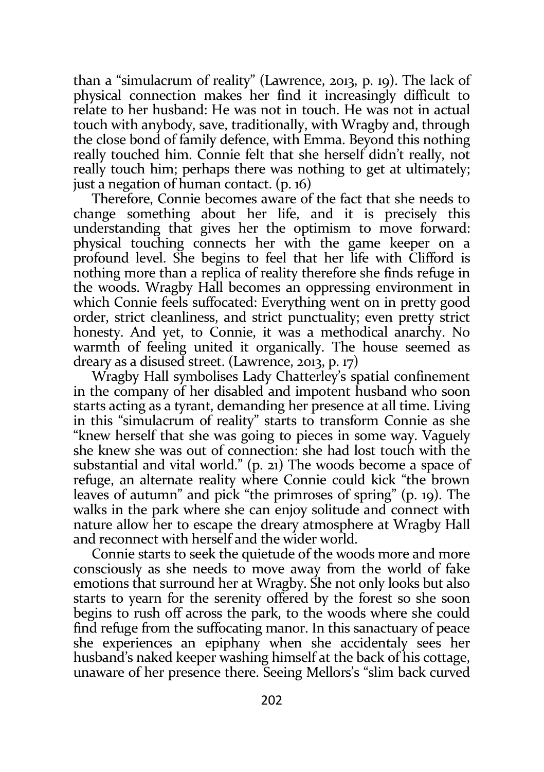than a "simulacrum of reality" (Lawrence, 2013, p. 19). The lack of physical connection makes her find it increasingly difficult to relate to her husband: He was not in touch. He was not in actual touch with anybody, save, traditionally, with Wragby and, through the close bond of family defence, with Emma. Beyond this nothing really touched him. Connie felt that she herself didn't really, not really touch him; perhaps there was nothing to get at ultimately; just a negation of human contact. (p. 16)

Therefore, Connie becomes aware of the fact that she needs to change something about her life, and it is precisely this understanding that gives her the optimism to move forward: physical touching connects her with the game keeper on a profound level. She begins to feel that her life with Clifford is nothing more than a replica of reality therefore she finds refuge in the woods. Wragby Hall becomes an oppressing environment in which Connie feels suffocated: Everything went on in pretty good order, strict cleanliness, and strict punctuality; even pretty strict honesty. And yet, to Connie, it was a methodical anarchy. No warmth of feeling united it organically. The house seemed as dreary as a disused street. (Lawrence, 2013, p. 17)

Wragby Hall symbolises Lady Chatterley's spatial confinement in the company of her disabled and impotent husband who soon starts acting as a tyrant, demanding her presence at all time. Living in this "simulacrum of reality" starts to transform Connie as she "knew herself that she was going to pieces in some way. Vaguely she knew she was out of connection: she had lost touch with the substantial and vital world." (p. 21) The woods become a space of refuge, an alternate reality where Connie could kick "the brown leaves of autumn" and pick "the primroses of spring" (p. 19). The walks in the park where she can enjoy solitude and connect with nature allow her to escape the dreary atmosphere at Wragby Hall and reconnect with herself and the wider world.

Connie starts to seek the quietude of the woods more and more consciously as she needs to move away from the world of fake emotions that surround her at Wragby. She not only looks but also starts to yearn for the serenity offered by the forest so she soon begins to rush off across the park, to the woods where she could find refuge from the suffocating manor. In this sanactuary of peace she experiences an epiphany when she accidentaly sees her husband's naked keeper washing himself at the back of his cottage, unaware of her presence there. Seeing Mellors's "slim back curved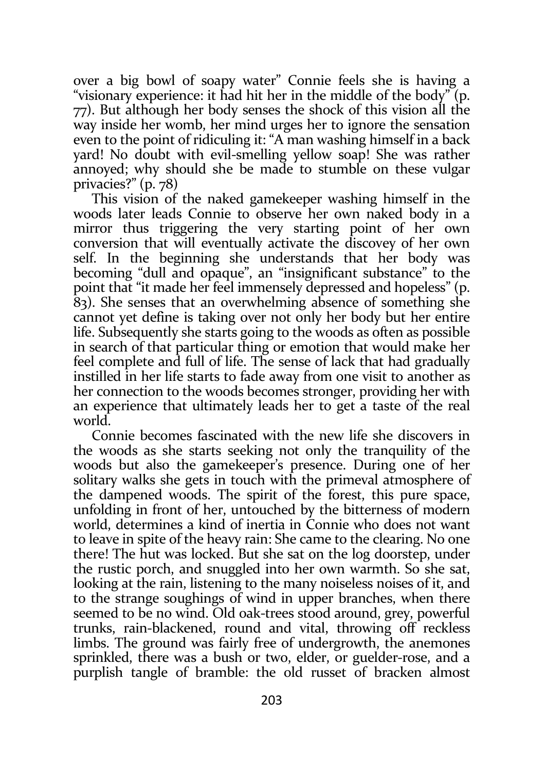over a big bowl of soapy water" Connie feels she is having a "visionary experience: it had hit her in the middle of the body" (p. 77). But although her body senses the shock of this vision all the way inside her womb, her mind urges her to ignore the sensation even to the point of ridiculing it: "A man washing himself in a back yard! No doubt with evil-smelling yellow soap! She was rather annoyed; why should she be made to stumble on these vulgar privacies?" (p. 78)

This vision of the naked gamekeeper washing himself in the woods later leads Connie to observe her own naked body in a mirror thus triggering the very starting point of her own conversion that will eventually activate the discovey of her own self. In the beginning she understands that her body was becoming "dull and opaque", an "insignificant substance" to the point that "it made her feel immensely depressed and hopeless" (p. 83). She senses that an overwhelming absence of something she cannot yet define is taking over not only her body but her entire life. Subsequently she starts going to the woods as often as possible in search of that particular thing or emotion that would make her feel complete and full of life. The sense of lack that had gradually instilled in her life starts to fade away from one visit to another as her connection to the woods becomes stronger, providing her with an experience that ultimately leads her to get a taste of the real world.

Connie becomes fascinated with the new life she discovers in the woods as she starts seeking not only the tranquility of the woods but also the gamekeeper's presence. During one of her solitary walks she gets in touch with the primeval atmosphere of the dampened woods. The spirit of the forest, this pure space, unfolding in front of her, untouched by the bitterness of modern world, determines a kind of inertia in Connie who does not want to leave in spite of the heavy rain: She came to the clearing. No one there! The hut was locked. But she sat on the log doorstep, under the rustic porch, and snuggled into her own warmth. So she sat, looking at the rain, listening to the many noiseless noises of it, and to the strange soughings of wind in upper branches, when there seemed to be no wind. Old oak-trees stood around, grey, powerful trunks, rain-blackened, round and vital, throwing off reckless limbs. The ground was fairly free of undergrowth, the anemones sprinkled, there was a bush or two, elder, or guelder-rose, and a purplish tangle of bramble: the old russet of bracken almost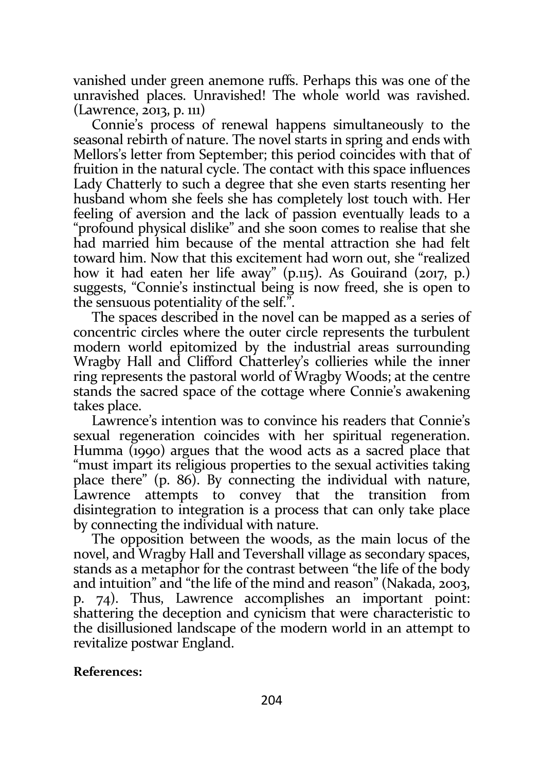vanished under green anemone ruffs. Perhaps this was one of the unravished places. Unravished! The whole world was ravished. (Lawrence, 2013, p. 111)

Connie's process of renewal happens simultaneously to the seasonal rebirth of nature. The novel starts in spring and ends with Mellors's letter from September; this period coincides with that of fruition in the natural cycle. The contact with this space influences Lady Chatterly to such a degree that she even starts resenting her husband whom she feels she has completely lost touch with. Her feeling of aversion and the lack of passion eventually leads to a "profound physical dislike" and she soon comes to realise that she had married him because of the mental attraction she had felt toward him. Now that this excitement had worn out, she "realized how it had eaten her life away" (p.115). As Gouirand (2017, p.) suggests, "Connie's instinctual being is now freed, she is open to the sensuous potentiality of the self.".

The spaces described in the novel can be mapped as a series of concentric circles where the outer circle represents the turbulent modern world epitomized by the industrial areas surrounding Wragby Hall and Clifford Chatterley's collieries while the inner ring represents the pastoral world of Wragby Woods; at the centre stands the sacred space of the cottage where Connie's awakening takes place.

Lawrence's intention was to convince his readers that Connie's sexual regeneration coincides with her spiritual regeneration. Humma (1990) argues that the wood acts as a sacred place that "must impart its religious properties to the sexual activities taking place there" (p. 86). By connecting the individual with nature, Lawrence attempts to convey that the transition from disintegration to integration is a process that can only take place by connecting the individual with nature.

The opposition between the woods, as the main locus of the novel, and Wragby Hall and Tevershall village as secondary spaces, stands as a metaphor for the contrast between "the life of the body and intuition" and "the life of the mind and reason" (Nakada, 2003, p. 74). Thus, Lawrence accomplishes an important point: shattering the deception and cynicism that were characteristic to the disillusioned landscape of the modern world in an attempt to revitalize postwar England.

## References: